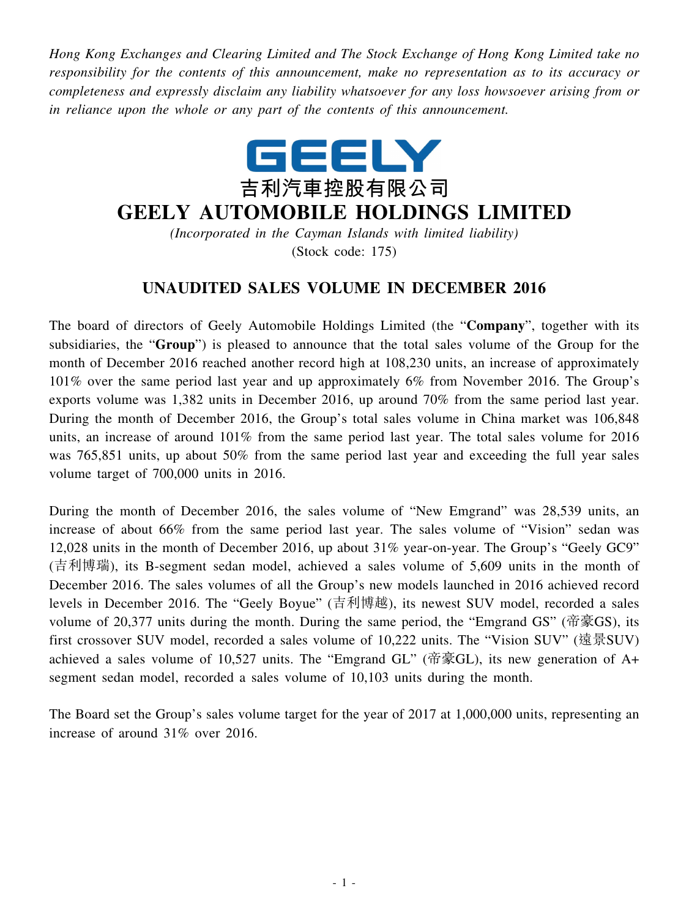*Hong Kong Exchanges and Clearing Limited and The Stock Exchange of Hong Kong Limited take no responsibility for the contents of this announcement, make no representation as to its accuracy or completeness and expressly disclaim any liability whatsoever for any loss howsoever arising from or in reliance upon the whole or any part of the contents of this announcement.*



## **GEELY AUTOMOBILE HOLDINGS LIMITED**

*(Incorporated in the Cayman Islands with limited liability)* (Stock code: 175)

## **UNAUDITED SALES VOLUME IN DECEMBER 2016**

The board of directors of Geely Automobile Holdings Limited (the "**Company**", together with its subsidiaries, the "**Group**") is pleased to announce that the total sales volume of the Group for the month of December 2016 reached another record high at 108,230 units, an increase of approximately 101% over the same period last year and up approximately 6% from November 2016. The Group's exports volume was 1,382 units in December 2016, up around 70% from the same period last year. During the month of December 2016, the Group's total sales volume in China market was 106,848 units, an increase of around 101% from the same period last year. The total sales volume for 2016 was 765,851 units, up about 50% from the same period last year and exceeding the full year sales volume target of 700,000 units in 2016.

During the month of December 2016, the sales volume of "New Emgrand" was 28,539 units, an increase of about 66% from the same period last year. The sales volume of "Vision" sedan was 12,028 units in the month of December 2016, up about 31% year-on-year. The Group's "Geely GC9" (吉利博瑞), its B-segment sedan model, achieved a sales volume of 5,609 units in the month of December 2016. The sales volumes of all the Group's new models launched in 2016 achieved record levels in December 2016. The "Geely Boyue" (吉利博越), its newest SUV model, recorded a sales volume of 20,377 units during the month. During the same period, the "Emgrand GS" (帝豪GS), its first crossover SUV model, recorded a sales volume of 10,222 units. The "Vision SUV" (遠景SUV) achieved a sales volume of 10,527 units. The "Emgrand GL" (帝豪GL), its new generation of A+ segment sedan model, recorded a sales volume of 10,103 units during the month.

The Board set the Group's sales volume target for the year of 2017 at 1,000,000 units, representing an increase of around 31% over 2016.